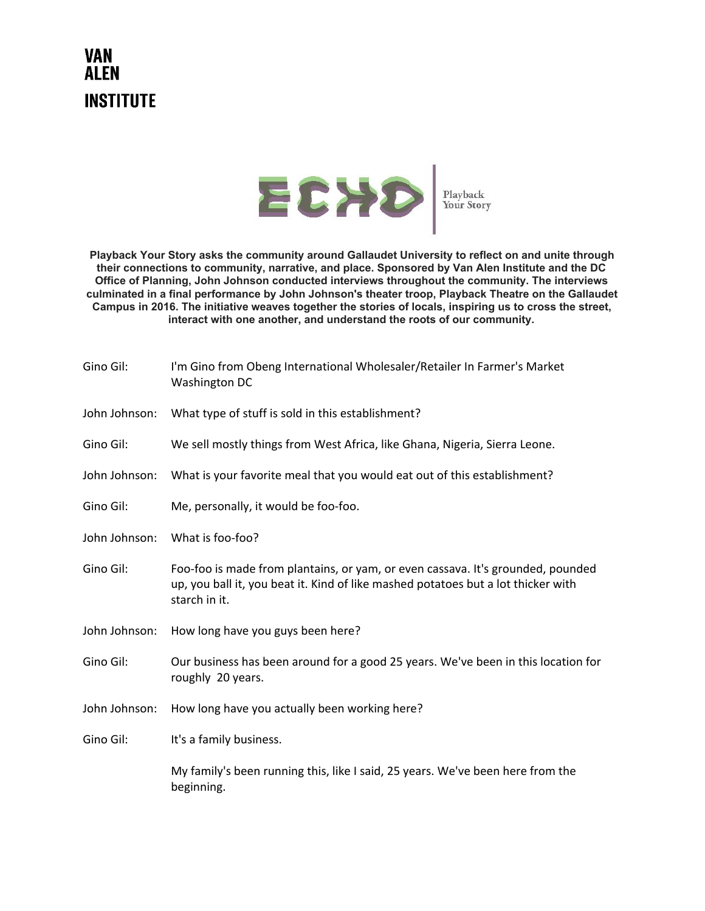## **VAN ALEN INSTITUTE**



**Playback Your Story asks the community around Gallaudet University to reflect on and unite through their connections to community, narrative, and place. Sponsored by Van Alen Institute and the DC Office of Planning, John Johnson conducted interviews throughout the community. The interviews culminated in a final performance by John Johnson's theater troop, Playback Theatre on the Gallaudet Campus in 2016. The initiative weaves together the stories of locals, inspiring us to cross the street, interact with one another, and understand the roots of our community.**

| Gino Gil:     | I'm Gino from Obeng International Wholesaler/Retailer In Farmer's Market<br>Washington DC                                                                                             |
|---------------|---------------------------------------------------------------------------------------------------------------------------------------------------------------------------------------|
| John Johnson: | What type of stuff is sold in this establishment?                                                                                                                                     |
| Gino Gil:     | We sell mostly things from West Africa, like Ghana, Nigeria, Sierra Leone.                                                                                                            |
| John Johnson: | What is your favorite meal that you would eat out of this establishment?                                                                                                              |
| Gino Gil:     | Me, personally, it would be foo-foo.                                                                                                                                                  |
| John Johnson: | What is foo-foo?                                                                                                                                                                      |
| Gino Gil:     | Foo-foo is made from plantains, or yam, or even cassava. It's grounded, pounded<br>up, you ball it, you beat it. Kind of like mashed potatoes but a lot thicker with<br>starch in it. |
| John Johnson: | How long have you guys been here?                                                                                                                                                     |
| Gino Gil:     | Our business has been around for a good 25 years. We've been in this location for<br>roughly 20 years.                                                                                |
| John Johnson: | How long have you actually been working here?                                                                                                                                         |
| Gino Gil:     | It's a family business.                                                                                                                                                               |
|               | My family's been running this, like I said, 25 years. We've been here from the<br>beginning.                                                                                          |